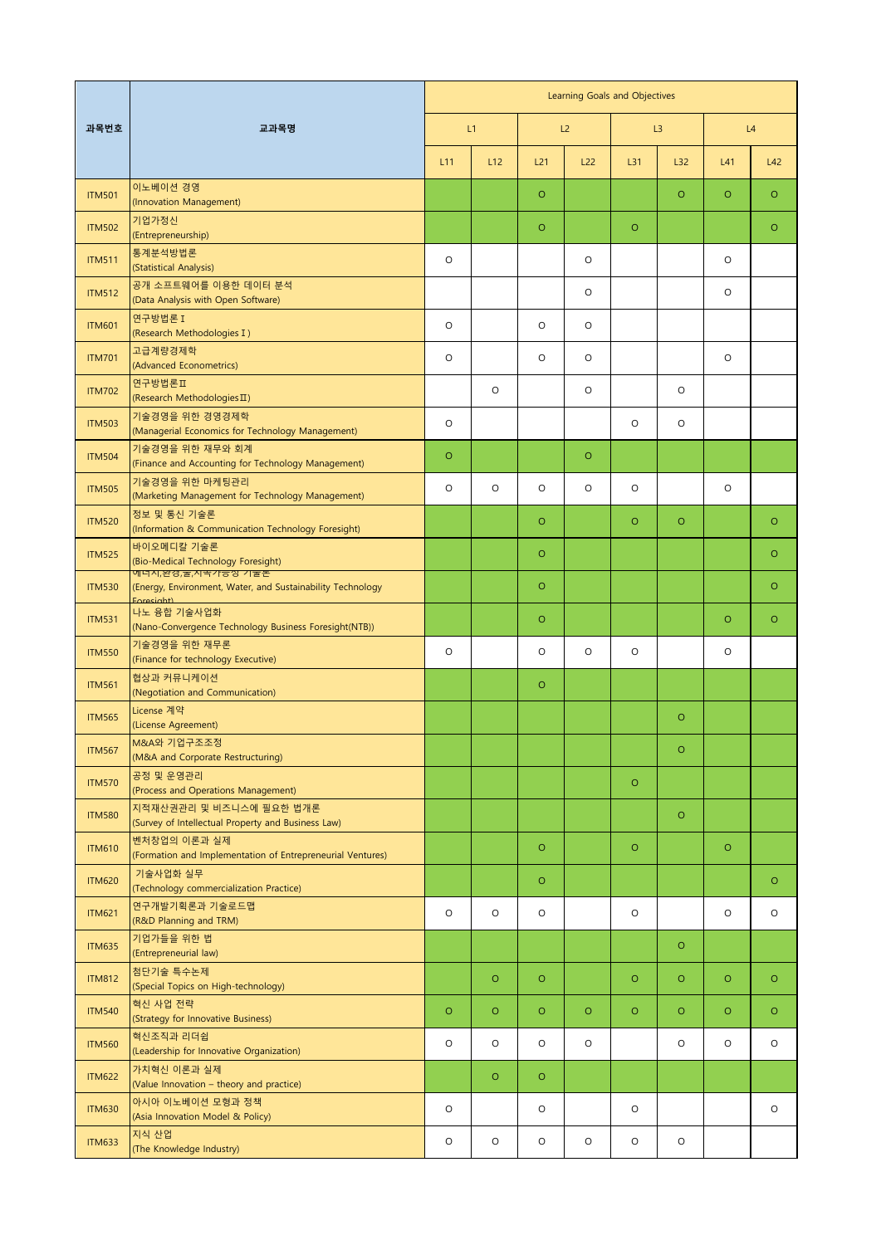| 과목번호          | 교과목명                                                                                           | Learning Goals and Objectives |         |         |         |         |         |         |         |  |
|---------------|------------------------------------------------------------------------------------------------|-------------------------------|---------|---------|---------|---------|---------|---------|---------|--|
|               |                                                                                                | L1                            |         |         | L2      | L3      |         | L4      |         |  |
|               |                                                                                                | L11                           | L12     | L21     | L22     | L31     | L32     | L41     | L42     |  |
| <b>ITM501</b> | 이노베이션 경영<br>(Innovation Management)                                                            |                               |         | $\circ$ |         |         | $\circ$ | $\circ$ | $\circ$ |  |
| <b>ITM502</b> | 기업가정신<br>(Entrepreneurship)                                                                    |                               |         | $\circ$ |         | $\circ$ |         |         | $\circ$ |  |
| <b>ITM511</b> | 통계분석방법론<br>(Statistical Analysis)                                                              | $\circ$                       |         |         | $\circ$ |         |         | $\circ$ |         |  |
| <b>ITM512</b> | 공개 소프트웨어를 이용한 데이터 분석<br>(Data Analysis with Open Software)                                     |                               |         |         | $\circ$ |         |         | $\circ$ |         |  |
| <b>ITM601</b> | 연구방법론 I<br>(Research Methodologies I)                                                          | $\circ$                       |         | $\circ$ | $\circ$ |         |         |         |         |  |
| <b>ITM701</b> | 고급계량경제학<br>(Advanced Econometrics)                                                             | $\circ$                       |         | O       | $\circ$ |         |         | $\circ$ |         |  |
| <b>ITM702</b> | 연구방법론Ⅱ<br>(Research Methodologies II)                                                          |                               | $\circ$ |         | $\circ$ |         | $\circ$ |         |         |  |
| <b>ITM503</b> | 기술경영을 위한 경영경제학<br>(Managerial Economics for Technology Management)                             | $\circ$                       |         |         |         | $\circ$ | $\circ$ |         |         |  |
| <b>ITM504</b> | 기술경영을 위한 재무와 회계<br>(Finance and Accounting for Technology Management)                          | $\circ$                       |         |         | $\circ$ |         |         |         |         |  |
| <b>ITM505</b> | 기술경영을 위한 마케팅관리<br>(Marketing Management for Technology Management)                             | $\circ$                       | $\circ$ | O       | $\circ$ | $\circ$ |         | $\circ$ |         |  |
| <b>ITM520</b> | 정보 및 통신 기술론<br>(Information & Communication Technology Foresight)                              |                               |         | $\circ$ |         | $\circ$ | $\circ$ |         | $\circ$ |  |
| <b>ITM525</b> | 바이오메디칼 기술론<br>(Bio-Medical Technology Foresight)                                               |                               |         | $\circ$ |         |         |         |         | $\circ$ |  |
| <b>ITM530</b> | 메너시,완경,둘,시쪽가중장 기울돈<br>(Energy, Environment, Water, and Sustainability Technology<br>Enresight) |                               |         | $\circ$ |         |         |         |         | $\circ$ |  |
| <b>ITM531</b> | 나노 융합 기술사업화<br>(Nano-Convergence Technology Business Foresight(NTB))                           |                               |         | $\circ$ |         |         |         | $\circ$ | $\circ$ |  |
| <b>ITM550</b> | 기술경영을 위한 재무론<br>(Finance for technology Executive)                                             | $\circ$                       |         | O       | $\circ$ | $\circ$ |         | $\circ$ |         |  |
| <b>ITM561</b> | 협상과 커뮤니케이션<br>(Negotiation and Communication)                                                  |                               |         | $\circ$ |         |         |         |         |         |  |
| <b>ITM565</b> | License 계약<br>(License Agreement)                                                              |                               |         |         |         |         | $\circ$ |         |         |  |
| <b>ITM567</b> | M&A와 기업구조조정<br>(M&A and Corporate Restructuring)                                               |                               |         |         |         |         | $\circ$ |         |         |  |
| <b>ITM570</b> | 공정 및 운영관리<br>(Process and Operations Management)                                               |                               |         |         |         | $\circ$ |         |         |         |  |
| <b>ITM580</b> | 지적재산권관리 및 비즈니스에 필요한 법개론<br>(Survey of Intellectual Property and Business Law)                  |                               |         |         |         |         | $\circ$ |         |         |  |
| <b>ITM610</b> | 벤처창업의 이론과 실제<br>(Formation and Implementation of Entrepreneurial Ventures)                     |                               |         | $\circ$ |         | $\circ$ |         | $\circ$ |         |  |
| <b>ITM620</b> | 기술사업화 실무<br>(Technology commercialization Practice)                                            |                               |         | $\circ$ |         |         |         |         | $\circ$ |  |
| <b>ITM621</b> | 연구개발기획론과 기술로드맵<br>(R&D Planning and TRM)                                                       | $\circ$                       | $\circ$ | $\circ$ |         | $\circ$ |         | $\circ$ | $\circ$ |  |
| <b>ITM635</b> | 기업가들을 위한 법<br>(Entrepreneurial law)                                                            |                               |         |         |         |         | $\circ$ |         |         |  |
| <b>ITM812</b> | 첨단기술 특수논제<br>(Special Topics on High-technology)                                               |                               | $\circ$ | $\circ$ |         | $\circ$ | $\circ$ | $\circ$ | $\circ$ |  |
| <b>ITM540</b> | 혁신 사업 전략<br>(Strategy for Innovative Business)                                                 | $\circ$                       | $\circ$ | $\circ$ | $\circ$ | $\circ$ | $\circ$ | $\circ$ | $\circ$ |  |
| <b>ITM560</b> | 혁신조직과 리더쉽<br>(Leadership for Innovative Organization)                                          | $\circ$                       | O       | $\circ$ | $\circ$ |         | $\circ$ | O       | $\circ$ |  |
| <b>ITM622</b> | 가치혁신 이론과 실제<br>(Value Innovation - theory and practice)                                        |                               | $\circ$ | $\circ$ |         |         |         |         |         |  |
| <b>ITM630</b> | 아시아 이노베이션 모형과 정책<br>(Asia Innovation Model & Policy)                                           | $\circ$                       |         | $\circ$ |         | $\circ$ |         |         | $\circ$ |  |
| <b>ITM633</b> | 지식 산업<br>(The Knowledge Industry)                                                              | $\circ$                       | $\circ$ | $\circ$ | $\circ$ | $\circ$ | $\circ$ |         |         |  |